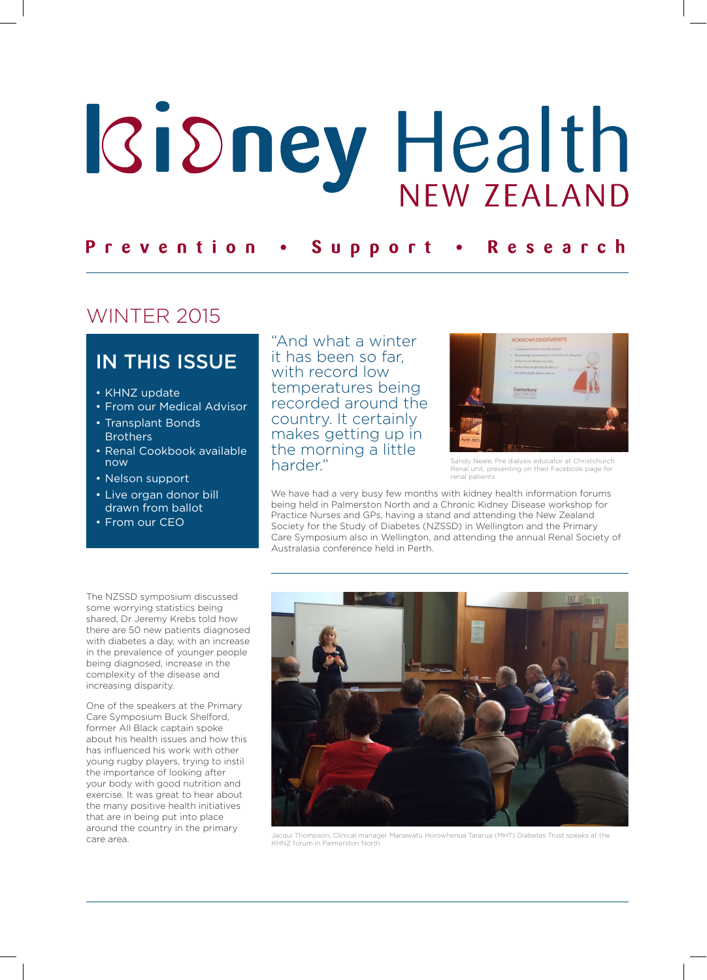# **Ridney Health NEW ZEALAND**

#### Prevention . Support • Research

## WINTER 2015

# IN THIS ISSUE

- KHNZ update
- From our Medical Advisor
- Transplant Bonds **Brothers**
- Renal Cookbook available now
- Nelson support
- Live organ donor bill drawn from ballot
- From our CEO

"And what a winter it has been so far, with record low temperatures being recorded around the country. It certainly makes getting up in the morning a little harder."



Indy Neale, Pre dialysis educator at Christchurch Renal unit, presenting on their Facebook page for renal patients

We have had a very busy few months with kidney health information forums being held in Palmerston North and a Chronic Kidney Disease workshop for Practice Nurses and GPs, having a stand and attending the New Zealand Society for the Study of Diabetes (NZSSD) in Wellington and the Primary Care Symposium also in Wellington, and attending the annual Renal Society of Australasia conference held in Perth.

The NZSSD symposium discussed some worrying statistics being shared, Dr Jeremy Krebs told how there are 50 new patients diagnosed with diabetes a day, with an increase in the prevalence of younger people being diagnosed, increase in the complexity of the disease and increasing disparity.

One of the speakers at the Primary Care Symposium Buck Shelford, former All Black captain spoke about his health issues and how this has influenced his work with other young rugby players, trying to instil the importance of looking after your body with good nutrition and exercise. It was great to hear about the many positive health initiatives that are in being put into place around the country in the primary care area.



n, Clinical manager Manawatu Horowhenua Tararua (MHT) Diabetes Trust speaks at the KHNZ forum in Palmerston North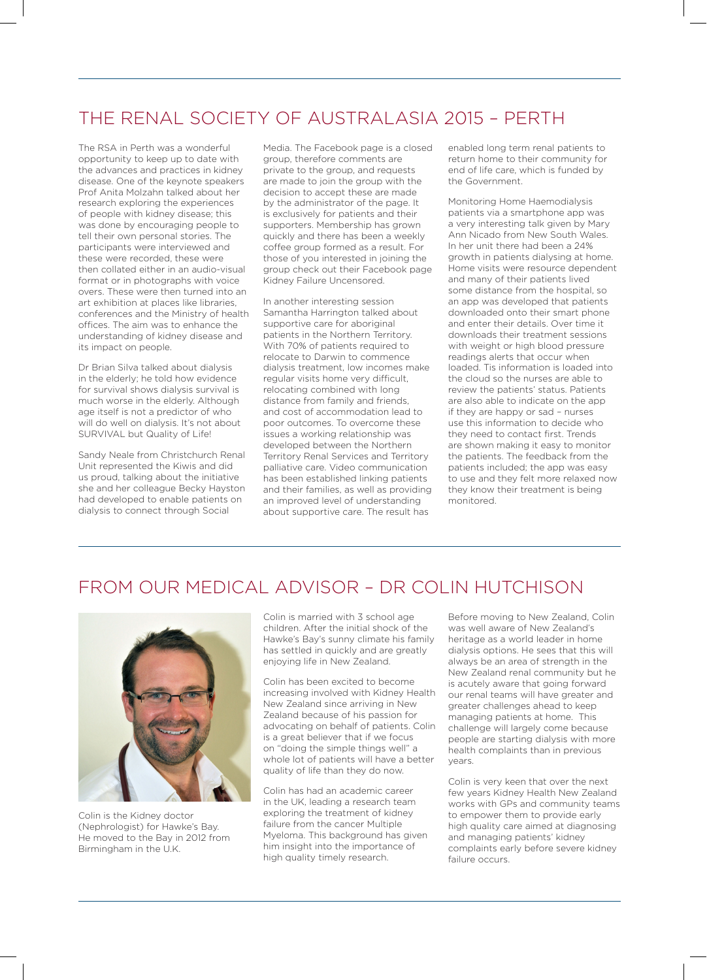## THE RENAL SOCIETY OF AUSTRALASIA 2015 – PERTH

The RSA in Perth was a wonderful opportunity to keep up to date with the advances and practices in kidney disease. One of the keynote speakers Prof Anita Molzahn talked about her research exploring the experiences of people with kidney disease; this was done by encouraging people to tell their own personal stories. The participants were interviewed and these were recorded, these were then collated either in an audio-visual format or in photographs with voice overs. These were then turned into an art exhibition at places like libraries, conferences and the Ministry of health offices. The aim was to enhance the understanding of kidney disease and its impact on people.

Dr Brian Silva talked about dialysis in the elderly; he told how evidence for survival shows dialysis survival is much worse in the elderly. Although age itself is not a predictor of who will do well on dialysis. It's not about SURVIVAL but Quality of Life!

Sandy Neale from Christchurch Renal Unit represented the Kiwis and did us proud, talking about the initiative she and her colleague Becky Hayston had developed to enable patients on dialysis to connect through Social

Media. The Facebook page is a closed group, therefore comments are private to the group, and requests are made to join the group with the decision to accept these are made by the administrator of the page. It is exclusively for patients and their supporters. Membership has grown quickly and there has been a weekly coffee group formed as a result. For those of you interested in joining the group check out their Facebook page Kidney Failure Uncensored.

In another interesting session Samantha Harrington talked about supportive care for aboriginal patients in the Northern Territory. With 70% of patients required to relocate to Darwin to commence dialysis treatment, low incomes make regular visits home very difficult, relocating combined with long distance from family and friends, and cost of accommodation lead to poor outcomes. To overcome these issues a working relationship was developed between the Northern Territory Renal Services and Territory palliative care. Video communication has been established linking patients and their families, as well as providing an improved level of understanding about supportive care. The result has

enabled long term renal patients to return home to their community for end of life care, which is funded by the Government.

Monitoring Home Haemodialysis patients via a smartphone app was a very interesting talk given by Mary Ann Nicado from New South Wales. In her unit there had been a 24% growth in patients dialysing at home. Home visits were resource dependent and many of their patients lived some distance from the hospital, so an app was developed that patients downloaded onto their smart phone and enter their details. Over time it downloads their treatment sessions with weight or high blood pressure readings alerts that occur when loaded. Tis information is loaded into the cloud so the nurses are able to review the patients' status. Patients are also able to indicate on the app if they are happy or sad – nurses use this information to decide who they need to contact first. Trends are shown making it easy to monitor the patients. The feedback from the patients included; the app was easy to use and they felt more relaxed now they know their treatment is being monitored.

#### FROM OUR MEDICAL ADVISOR – DR COLIN HUTCHISON



Colin is the Kidney doctor (Nephrologist) for Hawke's Bay. He moved to the Bay in 2012 from Birmingham in the U.K.

Colin is married with 3 school age children. After the initial shock of the Hawke's Bay's sunny climate his family has settled in quickly and are greatly enjoying life in New Zealand.

Colin has been excited to become increasing involved with Kidney Health New Zealand since arriving in New Zealand because of his passion for advocating on behalf of patients. Colin is a great believer that if we focus on "doing the simple things well" a whole lot of patients will have a better quality of life than they do now.

Colin has had an academic career in the UK, leading a research team exploring the treatment of kidney failure from the cancer Multiple Myeloma. This background has given him insight into the importance of high quality timely research.

Before moving to New Zealand, Colin was well aware of New Zealand's heritage as a world leader in home dialysis options. He sees that this will always be an area of strength in the New Zealand renal community but he is acutely aware that going forward our renal teams will have greater and greater challenges ahead to keep managing patients at home. This challenge will largely come because people are starting dialysis with more health complaints than in previous years.

Colin is very keen that over the next few years Kidney Health New Zealand works with GPs and community teams to empower them to provide early high quality care aimed at diagnosing and managing patients' kidney complaints early before severe kidney failure occurs.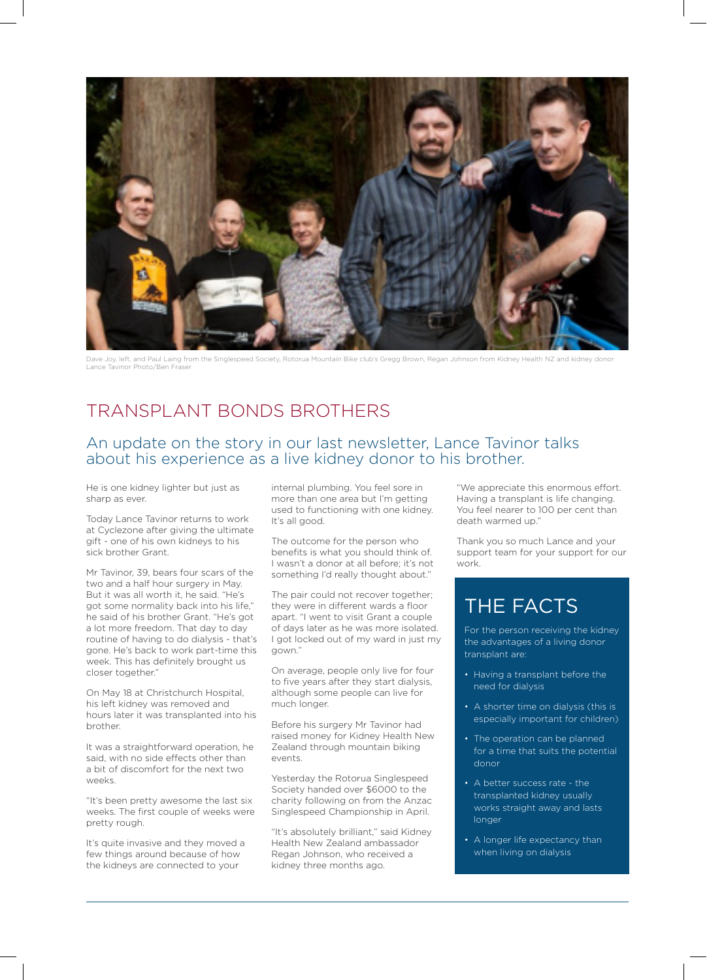

ave Joy, left, and Paul Laing from the Singlespeed Society, Rotorua Mountain Bike club's Gregg Brown, Regan Johnson from Kidney Health NZ and kidney donor Lance Tavinor Photo/Ben Frase

## TRANSPLANT BONDS BROTHERS

#### An update on the story in our last newsletter, Lance Tavinor talks about his experience as a live kidney donor to his brother.

He is one kidney lighter but just as sharp as ever.

Today Lance Tavinor returns to work at Cyclezone after giving the ultimate gift - one of his own kidneys to his sick brother Grant.

Mr Tavinor, 39, bears four scars of the two and a half hour surgery in May. But it was all worth it, he said. "He's got some normality back into his life," he said of his brother Grant. "He's got a lot more freedom. That day to day routine of having to do dialysis - that's gone. He's back to work part-time this week. This has definitely brought us closer together."

On May 18 at Christchurch Hospital, his left kidney was removed and hours later it was transplanted into his brother.

It was a straightforward operation, he said, with no side effects other than a bit of discomfort for the next two weeks.

"It's been pretty awesome the last six weeks. The first couple of weeks were pretty rough.

It's quite invasive and they moved a few things around because of how the kidneys are connected to your

internal plumbing. You feel sore in more than one area but I'm getting used to functioning with one kidney. It's all good.

The outcome for the person who benefits is what you should think of. I wasn't a donor at all before; it's not something I'd really thought about."

The pair could not recover together; they were in different wards a floor apart. "I went to visit Grant a couple of days later as he was more isolated. I got locked out of my ward in just my gown."

On average, people only live for four to five years after they start dialysis, although some people can live for much longer.

Before his surgery Mr Tavinor had raised money for Kidney Health New Zealand through mountain biking events.

Yesterday the Rotorua Singlespeed Society handed over \$6000 to the charity following on from the Anzac Singlespeed Championship in April.

"It's absolutely brilliant," said Kidney Health New Zealand ambassador Regan Johnson, who received a kidney three months ago.

"We appreciate this enormous effort. Having a transplant is life changing. You feel nearer to 100 per cent than death warmed up."

Thank you so much Lance and your support team for your support for our work.

# THE FACTS

For the person receiving the kidney the advantages of a living donor transplant are:

- Having a transplant before the need for dialysis
- A shorter time on dialysis (this is especially important for children)
- The operation can be planned for a time that suits the potential donor
- A better success rate the transplanted kidney usually works straight away and lasts longer
- A longer life expectancy than when living on dialysis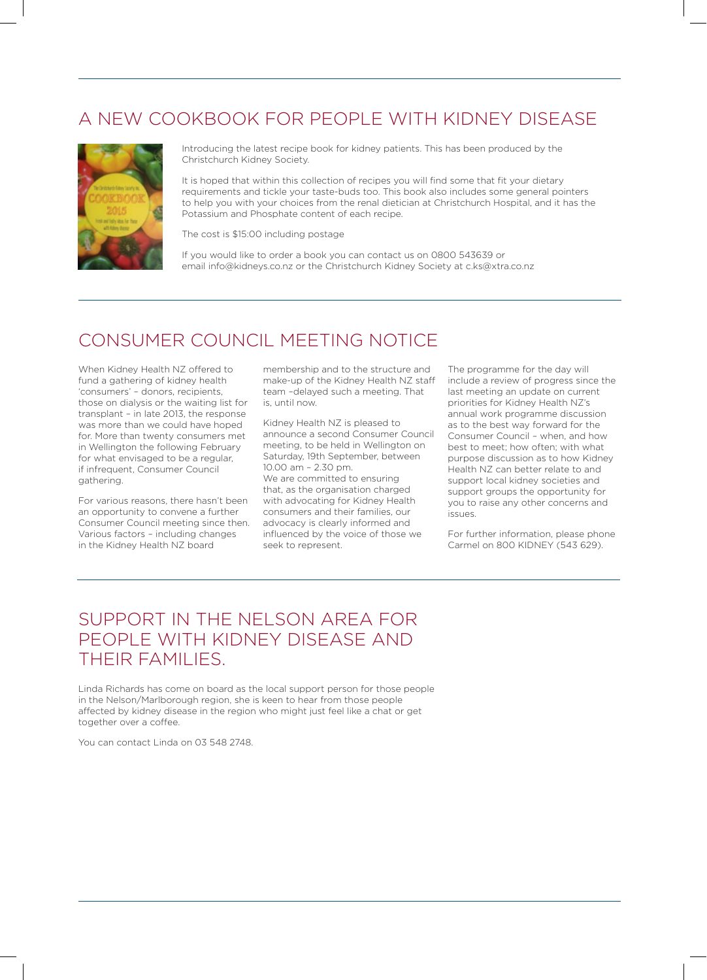## A NEW COOKBOOK FOR PEOPLE WITH KIDNEY DISEASE



Introducing the latest recipe book for kidney patients. This has been produced by the Christchurch Kidney Society.

It is hoped that within this collection of recipes you will find some that fit your dietary requirements and tickle your taste-buds too. This book also includes some general pointers to help you with your choices from the renal dietician at Christchurch Hospital, and it has the Potassium and Phosphate content of each recipe.

The cost is \$15:00 including postage

If you would like to order a book you can contact us on 0800 543639 or email info@kidneys.co.nz or the Christchurch Kidney Society at c.ks@xtra.co.nz

#### CONSUMER COUNCIL MEETING NOTICE

When Kidney Health NZ offered to fund a gathering of kidney health 'consumers' – donors, recipients, those on dialysis or the waiting list for transplant – in late 2013, the response was more than we could have hoped for. More than twenty consumers met in Wellington the following February for what envisaged to be a regular, if infrequent, Consumer Council gathering.

For various reasons, there hasn't been an opportunity to convene a further Consumer Council meeting since then. Various factors – including changes in the Kidney Health NZ board

membership and to the structure and make-up of the Kidney Health NZ staff team –delayed such a meeting. That is, until now.

Kidney Health NZ is pleased to announce a second Consumer Council meeting, to be held in Wellington on Saturday, 19th September, between 10.00 am – 2.30 pm. We are committed to ensuring that, as the organisation charged with advocating for Kidney Health consumers and their families, our advocacy is clearly informed and influenced by the voice of those we seek to represent.

The programme for the day will include a review of progress since the last meeting an update on current priorities for Kidney Health NZ's annual work programme discussion as to the best way forward for the Consumer Council – when, and how best to meet; how often; with what purpose discussion as to how Kidney Health NZ can better relate to and support local kidney societies and support groups the opportunity for you to raise any other concerns and issues.

For further information, please phone Carmel on 800 KIDNEY (543 629).

#### SUPPORT IN THE NELSON AREA FOR PEOPLE WITH KIDNEY DISEASE AND THEIR FAMILIES.

Linda Richards has come on board as the local support person for those people in the Nelson/Marlborough region, she is keen to hear from those people affected by kidney disease in the region who might just feel like a chat or get together over a coffee.

You can contact Linda on 03 548 2748.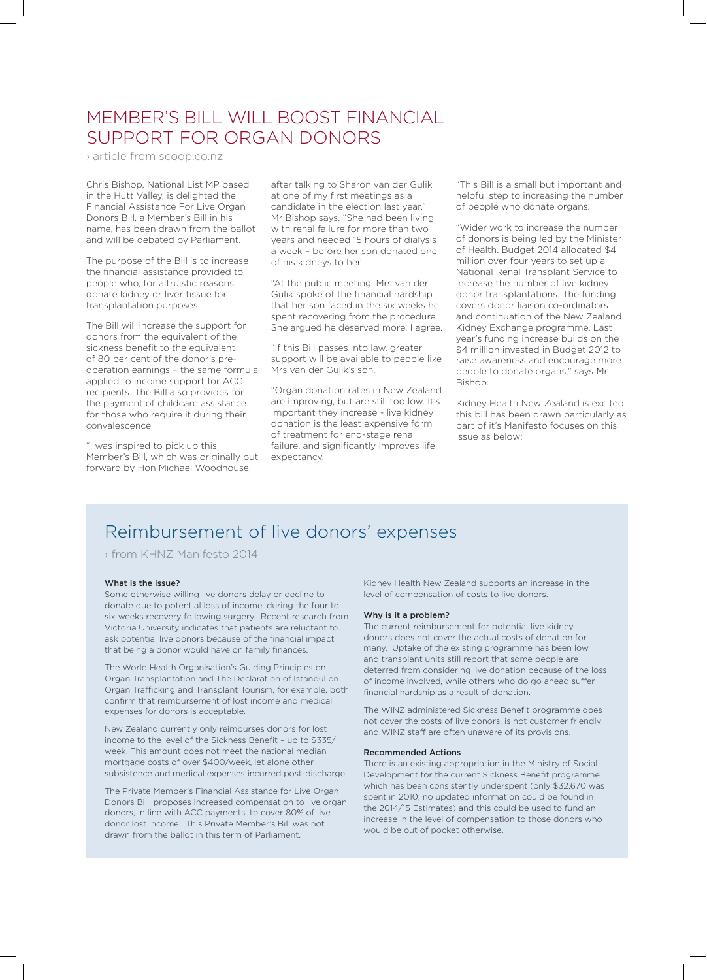#### MEMBER'S BILL WILL BOOST FINANCIAL SUPPORT FOR ORGAN DONORS

› article from scoop.co.nz

Chris Bishop, National List MP based in the Hutt Valley, is delighted the Financial Assistance For Live Organ Donors Bill, a Member's Bill in his name, has been drawn from the ballot and will be debated by Parliament.

The purpose of the Bill is to increase the financial assistance provided to people who, for altruistic reasons, donate kidney or liver tissue for transplantation purposes.

The Bill will increase the support for donors from the equivalent of the sickness benefit to the equivalent of 80 per cent of the donor's preoperation earnings – the same formula applied to income support for ACC recipients. The Bill also provides for the payment of childcare assistance for those who require it during their convalescence.

"I was inspired to pick up this Member's Bill, which was originally put forward by Hon Michael Woodhouse,

after talking to Sharon van der Gulik at one of my first meetings as a candidate in the election last year," Mr Bishop says. "She had been living with renal failure for more than two years and needed 15 hours of dialysis a week – before her son donated one of his kidneys to her.

"At the public meeting, Mrs van der Gulik spoke of the financial hardship that her son faced in the six weeks he spent recovering from the procedure. She argued he deserved more. I agree.

"If this Bill passes into law, greater support will be available to people like Mrs van der Gulik's son.

"Organ donation rates in New Zealand are improving, but are still too low. It's important they increase - live kidney donation is the least expensive form of treatment for end-stage renal failure, and significantly improves life expectancy.

"This Bill is a small but important and helpful step to increasing the number of people who donate organs.

"Wider work to increase the number of donors is being led by the Minister of Health. Budget 2014 allocated \$4 million over four years to set up a National Renal Transplant Service to increase the number of live kidney donor transplantations. The funding covers donor liaison co-ordinators and continuation of the New Zealand Kidney Exchange programme. Last year's funding increase builds on the \$4 million invested in Budget 2012 to raise awareness and encourage more people to donate organs," says Mr Bishop.

Kidney Health New Zealand is excited this bill has been drawn particularly as part of it's Manifesto focuses on this issue as below;

## Reimbursement of live donors' expenses

› from KHNZ Manifesto 2014

#### What is the issue?

Some otherwise willing live donors delay or decline to donate due to potential loss of income, during the four to six weeks recovery following surgery. Recent research from Victoria University indicates that patients are reluctant to ask potential live donors because of the financial impact that being a donor would have on family finances.

The World Health Organisation's Guiding Principles on Organ Transplantation and The Declaration of Istanbul on Organ Trafficking and Transplant Tourism, for example, both confirm that reimbursement of lost income and medical expenses for donors is acceptable.

New Zealand currently only reimburses donors for lost income to the level of the Sickness Benefit – up to \$335/ week. This amount does not meet the national median mortgage costs of over \$400/week, let alone other subsistence and medical expenses incurred post-discharge.

The Private Member's Financial Assistance for Live Organ Donors Bill, proposes increased compensation to live organ donors, in line with ACC payments, to cover 80% of live donor lost income. This Private Member's Bill was not drawn from the ballot in this term of Parliament.

Kidney Health New Zealand supports an increase in the level of compensation of costs to live donors.

#### Why is it a problem?

The current reimbursement for potential live kidney donors does not cover the actual costs of donation for many. Uptake of the existing programme has been low and transplant units still report that some people are deterred from considering live donation because of the loss of income involved, while others who do go ahead suffer financial hardship as a result of donation.

The WINZ administered Sickness Benefit programme does not cover the costs of live donors, is not customer friendly and WINZ staff are often unaware of its provisions.

#### Recommended Actions

There is an existing appropriation in the Ministry of Social Development for the current Sickness Benefit programme which has been consistently underspent (only \$32,670 was spent in 2010; no updated information could be found in the 2014/15 Estimates) and this could be used to fund an increase in the level of compensation to those donors who would be out of pocket otherwise.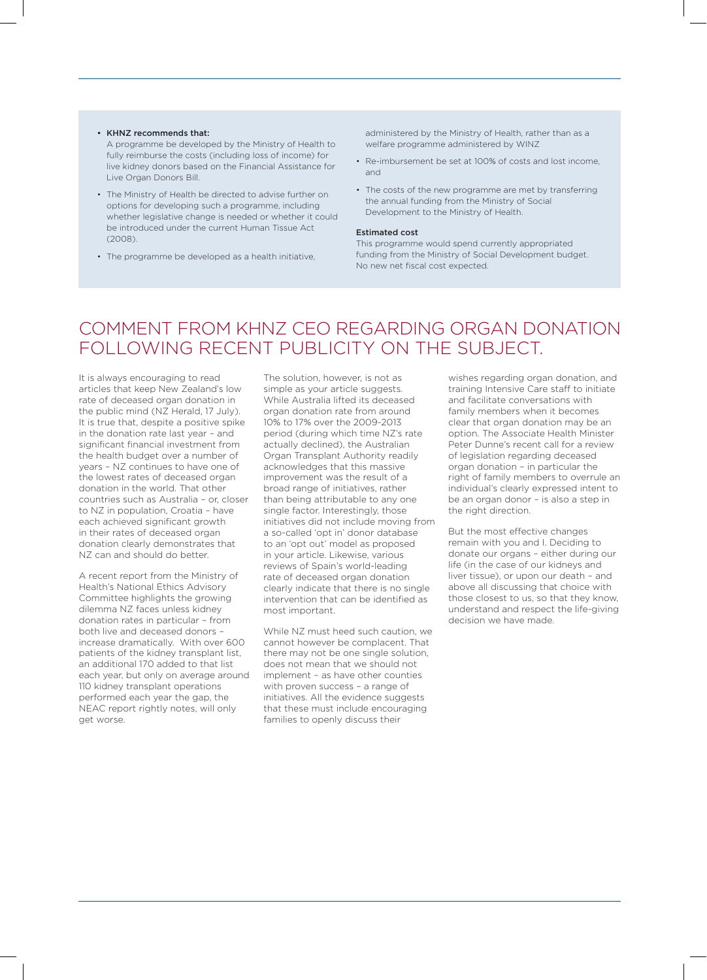#### • KHNZ recommends that:

A programme be developed by the Ministry of Health to fully reimburse the costs (including loss of income) for live kidney donors based on the Financial Assistance for Live Organ Donors Bill.

- The Ministry of Health be directed to advise further on options for developing such a programme, including whether legislative change is needed or whether it could be introduced under the current Human Tissue Act (2008).
- The programme be developed as a health initiative,

administered by the Ministry of Health, rather than as a welfare programme administered by WINZ

- Re-imbursement be set at 100% of costs and lost income, and
- The costs of the new programme are met by transferring the annual funding from the Ministry of Social Development to the Ministry of Health.

#### Estimated cost

This programme would spend currently appropriated funding from the Ministry of Social Development budget. No new net fiscal cost expected.

#### COMMENT FROM KHNZ CEO REGARDING ORGAN DONATION FOLLOWING RECENT PUBLICITY ON THE SUBJECT.

It is always encouraging to read articles that keep New Zealand's low rate of deceased organ donation in the public mind (NZ Herald, 17 July). It is true that, despite a positive spike in the donation rate last year – and significant financial investment from the health budget over a number of years – NZ continues to have one of the lowest rates of deceased organ donation in the world. That other countries such as Australia – or, closer to NZ in population, Croatia – have each achieved significant growth in their rates of deceased organ donation clearly demonstrates that NZ can and should do better.

A recent report from the Ministry of Health's National Ethics Advisory Committee highlights the growing dilemma NZ faces unless kidney donation rates in particular – from both live and deceased donors – increase dramatically. With over 600 patients of the kidney transplant list, an additional 170 added to that list each year, but only on average around 110 kidney transplant operations performed each year the gap, the NEAC report rightly notes, will only get worse.

The solution, however, is not as simple as your article suggests. While Australia lifted its deceased organ donation rate from around 10% to 17% over the 2009-2013 period (during which time NZ's rate actually declined), the Australian Organ Transplant Authority readily acknowledges that this massive improvement was the result of a broad range of initiatives, rather than being attributable to any one single factor. Interestingly, those initiatives did not include moving from a so-called 'opt in' donor database to an 'opt out' model as proposed in your article. Likewise, various reviews of Spain's world-leading rate of deceased organ donation clearly indicate that there is no single intervention that can be identified as most important.

While NZ must heed such caution, we cannot however be complacent. That there may not be one single solution, does not mean that we should not implement – as have other counties with proven success – a range of initiatives. All the evidence suggests that these must include encouraging families to openly discuss their

wishes regarding organ donation, and training Intensive Care staff to initiate and facilitate conversations with family members when it becomes clear that organ donation may be an option. The Associate Health Minister Peter Dunne's recent call for a review of legislation regarding deceased organ donation – in particular the right of family members to overrule an individual's clearly expressed intent to be an organ donor – is also a step in the right direction.

But the most effective changes remain with you and I. Deciding to donate our organs – either during our life (in the case of our kidneys and liver tissue), or upon our death – and above all discussing that choice with those closest to us, so that they know, understand and respect the life-giving decision we have made.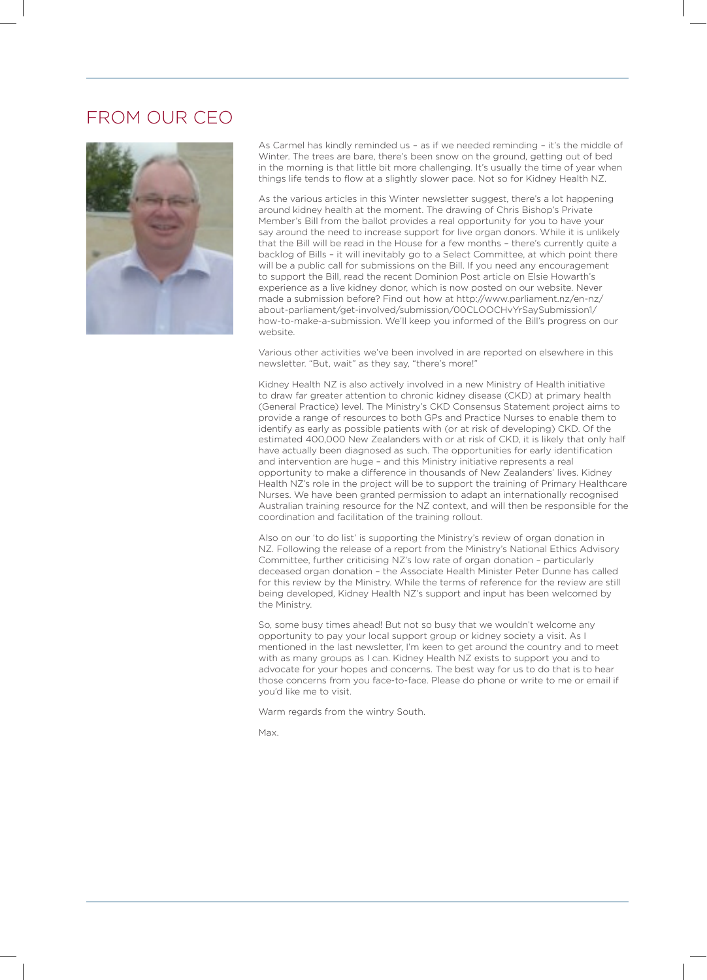#### FROM OUR CEO



As Carmel has kindly reminded us – as if we needed reminding – it's the middle of Winter. The trees are bare, there's been snow on the ground, getting out of bed in the morning is that little bit more challenging. It's usually the time of year when things life tends to flow at a slightly slower pace. Not so for Kidney Health NZ.

As the various articles in this Winter newsletter suggest, there's a lot happening around kidney health at the moment. The drawing of Chris Bishop's Private Member's Bill from the ballot provides a real opportunity for you to have your say around the need to increase support for live organ donors. While it is unlikely that the Bill will be read in the House for a few months – there's currently quite a backlog of Bills – it will inevitably go to a Select Committee, at which point there will be a public call for submissions on the Bill. If you need any encouragement to support the Bill, read the recent Dominion Post article on Elsie Howarth's experience as a live kidney donor, which is now posted on our website. Never made a submission before? Find out how at http://www.parliament.nz/en-nz/ about-parliament/get-involved/submission/00CLOOCHvYrSaySubmission1/ how-to-make-a-submission. We'll keep you informed of the Bill's progress on our website.

Various other activities we've been involved in are reported on elsewhere in this newsletter. "But, wait" as they say, "there's more!"

Kidney Health NZ is also actively involved in a new Ministry of Health initiative to draw far greater attention to chronic kidney disease (CKD) at primary health (General Practice) level. The Ministry's CKD Consensus Statement project aims to provide a range of resources to both GPs and Practice Nurses to enable them to identify as early as possible patients with (or at risk of developing) CKD. Of the estimated 400,000 New Zealanders with or at risk of CKD, it is likely that only half have actually been diagnosed as such. The opportunities for early identification and intervention are huge – and this Ministry initiative represents a real opportunity to make a difference in thousands of New Zealanders' lives. Kidney Health NZ's role in the project will be to support the training of Primary Healthcare Nurses. We have been granted permission to adapt an internationally recognised Australian training resource for the NZ context, and will then be responsible for the coordination and facilitation of the training rollout.

Also on our 'to do list' is supporting the Ministry's review of organ donation in NZ. Following the release of a report from the Ministry's National Ethics Advisory Committee, further criticising NZ's low rate of organ donation – particularly deceased organ donation – the Associate Health Minister Peter Dunne has called for this review by the Ministry. While the terms of reference for the review are still being developed, Kidney Health NZ's support and input has been welcomed by the Ministry.

So, some busy times ahead! But not so busy that we wouldn't welcome any opportunity to pay your local support group or kidney society a visit. As I mentioned in the last newsletter, I'm keen to get around the country and to meet with as many groups as I can. Kidney Health NZ exists to support you and to advocate for your hopes and concerns. The best way for us to do that is to hear those concerns from you face-to-face. Please do phone or write to me or email if you'd like me to visit.

Warm regards from the wintry South.

Max.